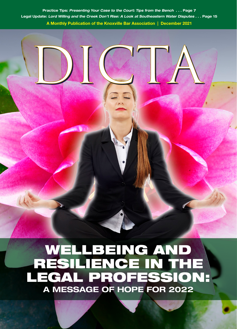Practice Tips: Presenting Your Case to the Court: Tips from the Bench . . . Page 7 Legal Update: Lord Willing and the Creek Don't Rise: A Look at Southeastern Water Disputes . . . Page 15 A Monthly Publication of the Knoxville Bar Association | December 2021

## WELLBEING AMERICAL PRO WELLBEING AND RESILIENCE IN THE LEGAL PROFESSION: A MESSAGE OF HOPE FOR 2022